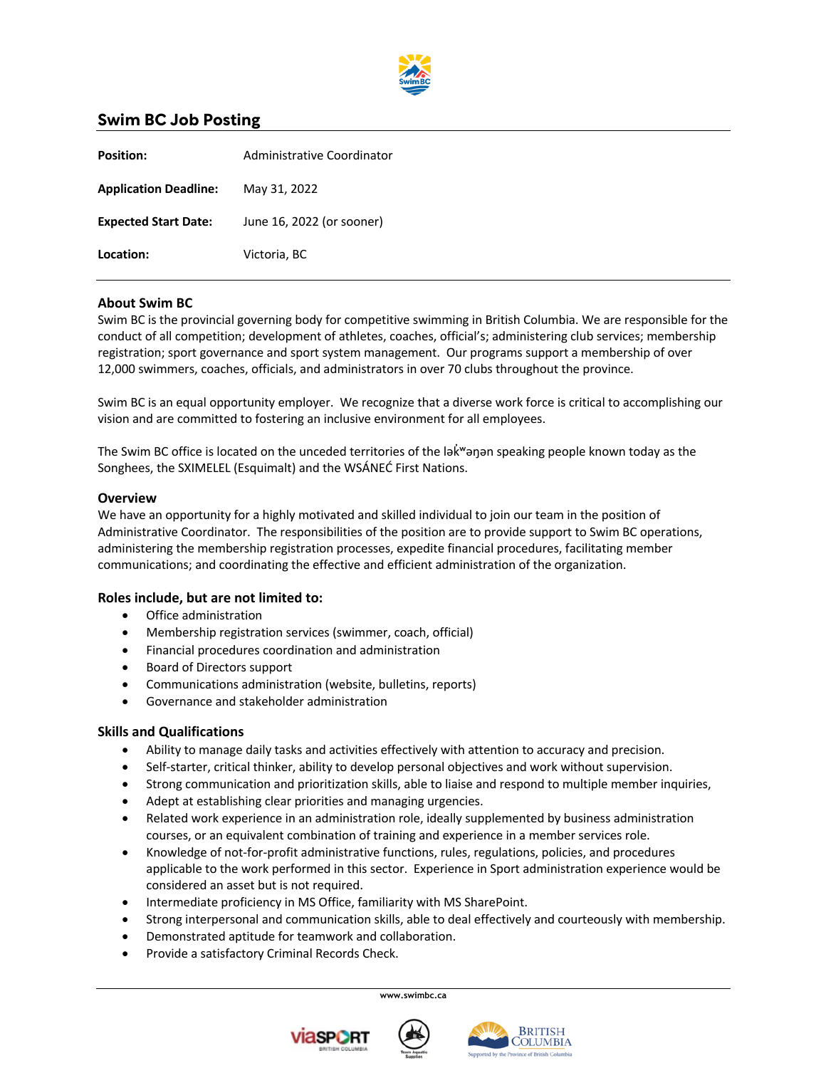

# **Swim BC Job Posting**

| <b>Position:</b>             | Administrative Coordinator |
|------------------------------|----------------------------|
| <b>Application Deadline:</b> | May 31, 2022               |
| <b>Expected Start Date:</b>  | June 16, 2022 (or sooner)  |
| Location:                    | Victoria, BC               |
|                              |                            |

## **About Swim BC**

Swim BC is the provincial governing body for competitive swimming in British Columbia. We are responsible for the conduct of all competition; development of athletes, coaches, official's; administering club services; membership registration; sport governance and sport system management. Our programs support a membership of over 12,000 swimmers, coaches, officials, and administrators in over 70 clubs throughout the province.

Swim BC is an equal opportunity employer. We recognize that a diverse work force is critical to accomplishing our vision and are committed to fostering an inclusive environment for all employees.

The Swim BC office is located on the unceded territories of the lak map a speaking people known today as the Songhees, the SXIMELEL (Esquimalt) and the WSÁNEĆ First Nations.

#### **Overview**

We have an opportunity for a highly motivated and skilled individual to join our team in the position of Administrative Coordinator. The responsibilities of the position are to provide support to Swim BC operations, administering the membership registration processes, expedite financial procedures, facilitating member communications; and coordinating the effective and efficient administration of the organization.

#### **Roles include, but are not limited to:**

- Office administration
- Membership registration services (swimmer, coach, official)
- Financial procedures coordination and administration
- Board of Directors support
- Communications administration (website, bulletins, reports)
- Governance and stakeholder administration

#### **Skills and Qualifications**

- Ability to manage daily tasks and activities effectively with attention to accuracy and precision.
- Self-starter, critical thinker, ability to develop personal objectives and work without supervision.
- Strong communication and prioritization skills, able to liaise and respond to multiple member inquiries,
- Adept at establishing clear priorities and managing urgencies.
- Related work experience in an administration role, ideally supplemented by business administration courses, or an equivalent combination of training and experience in a member services role.
- Knowledge of not-for-profit administrative functions, rules, regulations, policies, and procedures applicable to the work performed in this sector. Experience in Sport administration experience would be considered an asset but is not required.
- Intermediate proficiency in MS Office, familiarity with MS SharePoint.
- Strong interpersonal and communication skills, able to deal effectively and courteously with membership.
- Demonstrated aptitude for teamwork and collaboration.
- Provide a satisfactory Criminal Records Check.

**www.swimbc.ca**